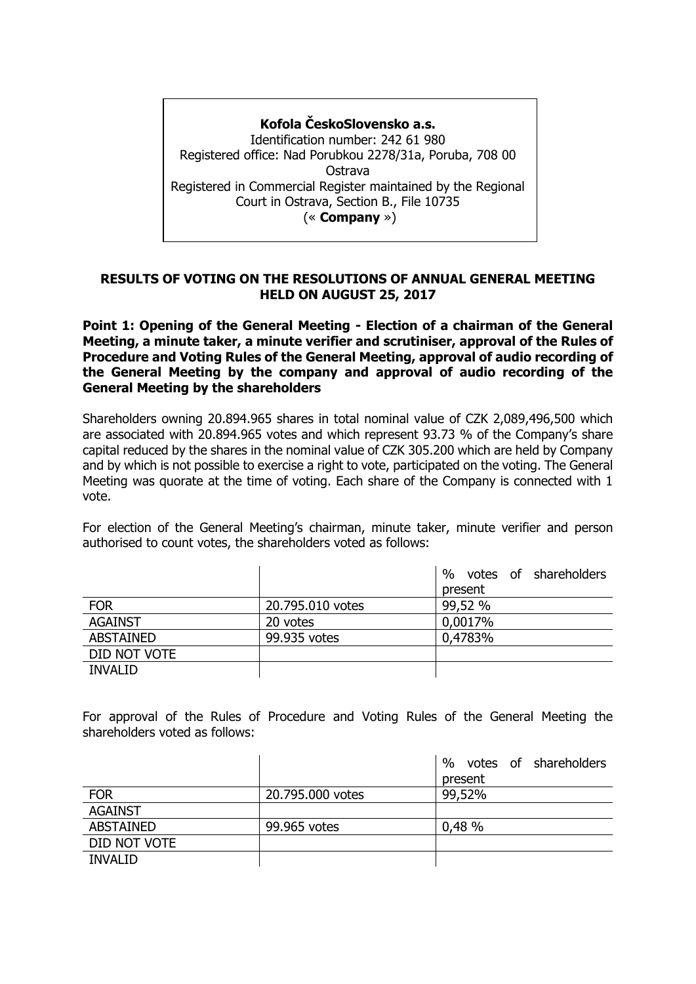# **Kofola ČeskoSlovensko a.s.** Identification number: 242 61 980 Registered office: Nad Porubkou 2278/31a, Poruba, 708 00

Ostrava Registered in Commercial Register maintained by the Regional Court in Ostrava, Section B., File 10735 (« **Company** »)

## **RESULTS OF VOTING ON THE RESOLUTIONS OF ANNUAL GENERAL MEETING HELD ON AUGUST 25, 2017**

**Point 1: Opening of the General Meeting - Election of a chairman of the General Meeting, a minute taker, a minute verifier and scrutiniser, approval of the Rules of Procedure and Voting Rules of the General Meeting, approval of audio recording of the General Meeting by the company and approval of audio recording of the General Meeting by the shareholders** 

Shareholders owning 20.894.965 shares in total nominal value of CZK 2,089,496,500 which are associated with 20.894.965 votes and which represent 93.73 % of the Company's share capital reduced by the shares in the nominal value of CZK 305.200 which are held by Company and by which is not possible to exercise a right to vote, participated on the voting. The General Meeting was quorate at the time of voting. Each share of the Company is connected with 1 vote.

For election of the General Meeting's chairman, minute taker, minute verifier and person authorised to count votes, the shareholders voted as follows:

|                  |                  | %<br>votes of shareholders |
|------------------|------------------|----------------------------|
|                  |                  | present                    |
| <b>FOR</b>       | 20.795.010 votes | 99,52 %                    |
| <b>AGAINST</b>   | 20 votes         | 0,0017%                    |
| <b>ABSTAINED</b> | 99.935 votes     | 0,4783%                    |
| DID NOT VOTE     |                  |                            |
| <b>INVALID</b>   |                  |                            |

For approval of the Rules of Procedure and Voting Rules of the General Meeting the shareholders voted as follows:

|                  |                  | $\%$<br>votes of shareholders |
|------------------|------------------|-------------------------------|
|                  |                  | present                       |
| <b>FOR</b>       | 20.795.000 votes | 99,52%                        |
| <b>AGAINST</b>   |                  |                               |
| <b>ABSTAINED</b> | 99.965 votes     | 0,48%                         |
| DID NOT VOTE     |                  |                               |
| <b>INVALID</b>   |                  |                               |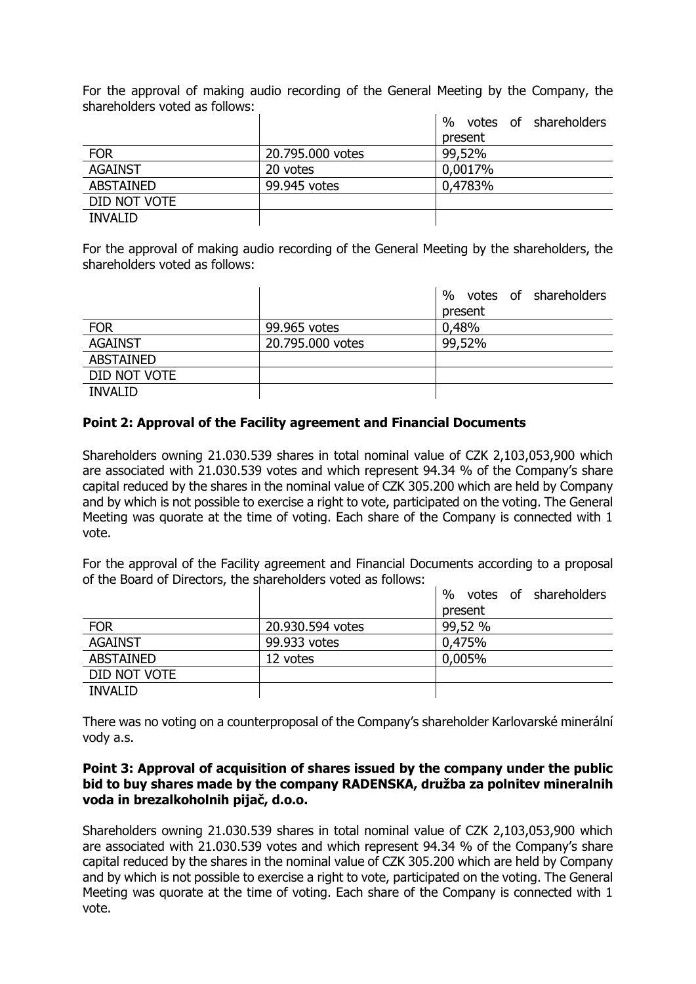For the approval of making audio recording of the General Meeting by the Company, the shareholders voted as follows:

|                  |                  | $\%$<br>votes of shareholders |
|------------------|------------------|-------------------------------|
|                  |                  | present                       |
| <b>FOR</b>       | 20.795.000 votes | 99,52%                        |
| <b>AGAINST</b>   | 20 votes         | 0,0017%                       |
| <b>ABSTAINED</b> | 99.945 votes     | 0,4783%                       |
| DID NOT VOTE     |                  |                               |
| <b>INVALID</b>   |                  |                               |

For the approval of making audio recording of the General Meeting by the shareholders, the shareholders voted as follows:

|                  |                  | %<br>votes of shareholders |
|------------------|------------------|----------------------------|
|                  |                  | present                    |
| <b>FOR</b>       | 99.965 votes     | 0,48%                      |
| <b>AGAINST</b>   | 20.795.000 votes | 99,52%                     |
| <b>ABSTAINED</b> |                  |                            |
| DID NOT VOTE     |                  |                            |
| <b>INVALID</b>   |                  |                            |

## **Point 2: Approval of the Facility agreement and Financial Documents**

Shareholders owning 21.030.539 shares in total nominal value of CZK 2,103,053,900 which are associated with 21.030.539 votes and which represent 94.34 % of the Company's share capital reduced by the shares in the nominal value of CZK 305.200 which are held by Company and by which is not possible to exercise a right to vote, participated on the voting. The General Meeting was quorate at the time of voting. Each share of the Company is connected with 1 vote.

For the approval of the Facility agreement and Financial Documents according to a proposal of the Board of Directors, the shareholders voted as follows:

|                  |                  | $\%$<br>votes of shareholders |
|------------------|------------------|-------------------------------|
|                  |                  | present                       |
| <b>FOR</b>       | 20.930.594 votes | 99,52 %                       |
| <b>AGAINST</b>   | 99.933 votes     | 0,475%                        |
| <b>ABSTAINED</b> | 12 votes         | 0,005%                        |
| DID NOT VOTE     |                  |                               |
| <b>INVALID</b>   |                  |                               |

There was no voting on a counterproposal of the Company's shareholder Karlovarské minerální vody a.s.

#### **Point 3: Approval of acquisition of shares issued by the company under the public bid to buy shares made by the company RADENSKA, družba za polnitev mineralnih voda in brezalkoholnih pijač, d.o.o.**

Shareholders owning 21.030.539 shares in total nominal value of CZK 2,103,053,900 which are associated with 21.030.539 votes and which represent 94.34 % of the Company's share capital reduced by the shares in the nominal value of CZK 305.200 which are held by Company and by which is not possible to exercise a right to vote, participated on the voting. The General Meeting was quorate at the time of voting. Each share of the Company is connected with 1 vote.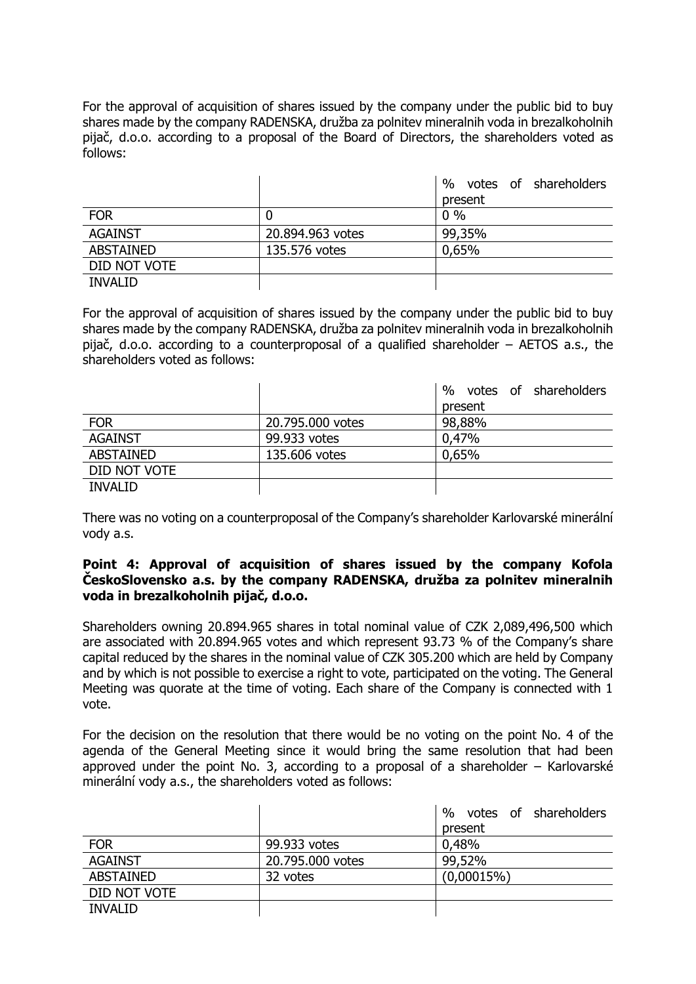For the approval of acquisition of shares issued by the company under the public bid to buy shares made by the company RADENSKA, družba za polnitev mineralnih voda in brezalkoholnih pijač, d.o.o. according to a proposal of the Board of Directors, the shareholders voted as follows:

|                  |                  | votes of shareholders<br>$\%$ |
|------------------|------------------|-------------------------------|
|                  |                  | present                       |
| <b>FOR</b>       | 0                | $0\%$                         |
| <b>AGAINST</b>   | 20.894.963 votes | 99,35%                        |
| <b>ABSTAINED</b> | 135.576 votes    | 0,65%                         |
| DID NOT VOTE     |                  |                               |
| <b>INVALID</b>   |                  |                               |

For the approval of acquisition of shares issued by the company under the public bid to buy shares made by the company RADENSKA, družba za polnitev mineralnih voda in brezalkoholnih pijač, d.o.o. according to a counterproposal of a qualified shareholder – AETOS a.s., the shareholders voted as follows:

|                  |                  | $\%$<br>votes of shareholders |
|------------------|------------------|-------------------------------|
|                  |                  | present                       |
| <b>FOR</b>       | 20.795.000 votes | 98,88%                        |
| <b>AGAINST</b>   | 99.933 votes     | 0,47%                         |
| <b>ABSTAINED</b> | 135.606 votes    | 0,65%                         |
| DID NOT VOTE     |                  |                               |
| <b>INVALID</b>   |                  |                               |

There was no voting on a counterproposal of the Company's shareholder Karlovarské minerální vody a.s.

### **Point 4: Approval of acquisition of shares issued by the company Kofola ČeskoSlovensko a.s. by the company RADENSKA, družba za polnitev mineralnih voda in brezalkoholnih pijač, d.o.o.**

Shareholders owning 20.894.965 shares in total nominal value of CZK 2,089,496,500 which are associated with 20.894.965 votes and which represent 93.73 % of the Company's share capital reduced by the shares in the nominal value of CZK 305.200 which are held by Company and by which is not possible to exercise a right to vote, participated on the voting. The General Meeting was quorate at the time of voting. Each share of the Company is connected with 1 vote.

For the decision on the resolution that there would be no voting on the point No. 4 of the agenda of the General Meeting since it would bring the same resolution that had been approved under the point No. 3, according to a proposal of a shareholder – Karlovarské minerální vody a.s., the shareholders voted as follows:

|                  |                  | % votes of shareholders |
|------------------|------------------|-------------------------|
|                  |                  | present                 |
| <b>FOR</b>       | 99.933 votes     | 0,48%                   |
| <b>AGAINST</b>   | 20.795.000 votes | 99,52%                  |
| <b>ABSTAINED</b> | 32 votes         | $(0,00015\%)$           |
| DID NOT VOTE     |                  |                         |
| <b>INVALID</b>   |                  |                         |